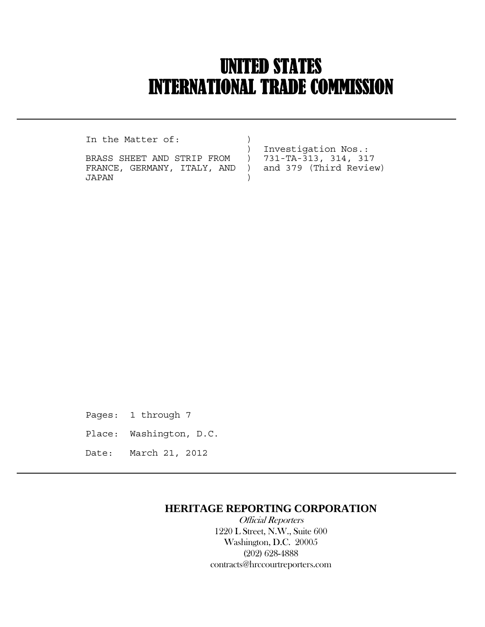# UNITED STATES INTERNATIONAL TRADE COMMISSION

In the Matter of:

 $\overline{a}$ 

BRASS SHEET AND STRIP FROM ) FRANCE, GERMANY, ITALY, AND ) and 379 (Third Review) JAPAN )

Investigation Nos.:<br>731-TA-313, 314, 317

Pages: 1 through 7 Place: Washington, D.C. Date: March 21, 2012

### **HERITAGE REPORTING CORPORATION**

 Official Reporters 1220 L Street, N.W., Suite 600 Washington, D.C. 20005 (202) 628-4888 contracts@hrccourtreporters.com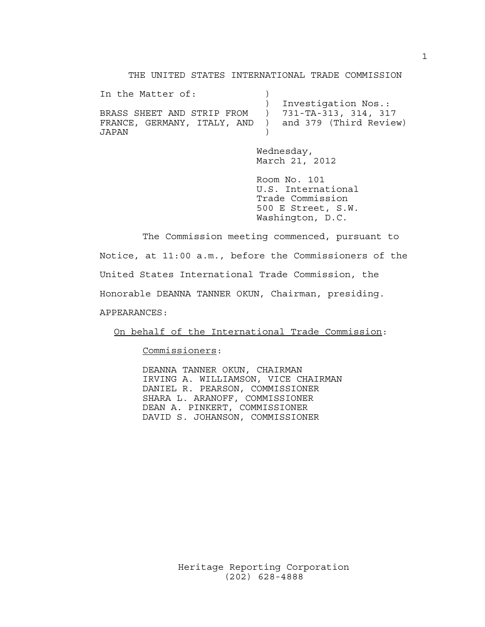THE UNITED STATES INTERNATIONAL TRADE COMMISSION

| In the Matter of:           |                        |
|-----------------------------|------------------------|
|                             | Investigation Nos.:    |
| BRASS SHEET AND STRIP FROM  | ) 731-TA-313, 314, 317 |
| FRANCE, GERMANY, ITALY, AND | and 379 (Third Review) |
| JAPAN                       |                        |

 Wednesday, March 21, 2012

 Room No. 101 U.S. International Trade Commission 500 E Street, S.W. Washington, D.C.

 The Commission meeting commenced, pursuant to Notice, at 11:00 a.m., before the Commissioners of the United States International Trade Commission, the Honorable DEANNA TANNER OKUN, Chairman, presiding. APPEARANCES:

On behalf of the International Trade Commission:

Commissioners:

 DEANNA TANNER OKUN, CHAIRMAN IRVING A. WILLIAMSON, VICE CHAIRMAN DANIEL R. PEARSON, COMMISSIONER SHARA L. ARANOFF, COMMISSIONER DEAN A. PINKERT, COMMISSIONER DAVID S. JOHANSON, COMMISSIONER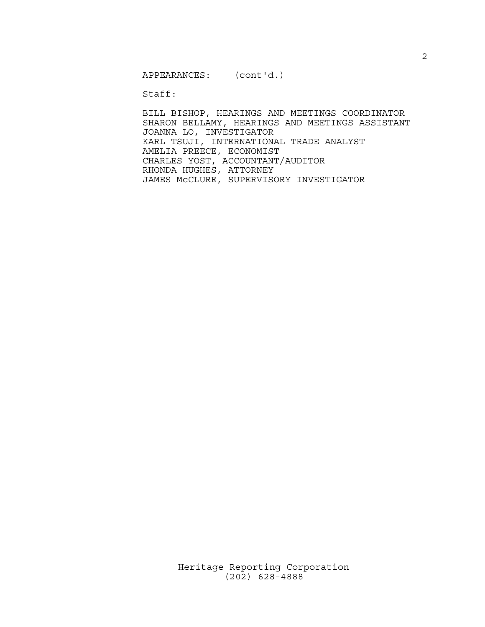APPEARANCES: (cont'd.)

Staff:

 BILL BISHOP, HEARINGS AND MEETINGS COORDINATOR SHARON BELLAMY, HEARINGS AND MEETINGS ASSISTANT JOANNA LO, INVESTIGATOR KARL TSUJI, INTERNATIONAL TRADE ANALYST AMELIA PREECE, ECONOMIST CHARLES YOST, ACCOUNTANT/AUDITOR RHONDA HUGHES, ATTORNEY JAMES McCLURE, SUPERVISORY INVESTIGATOR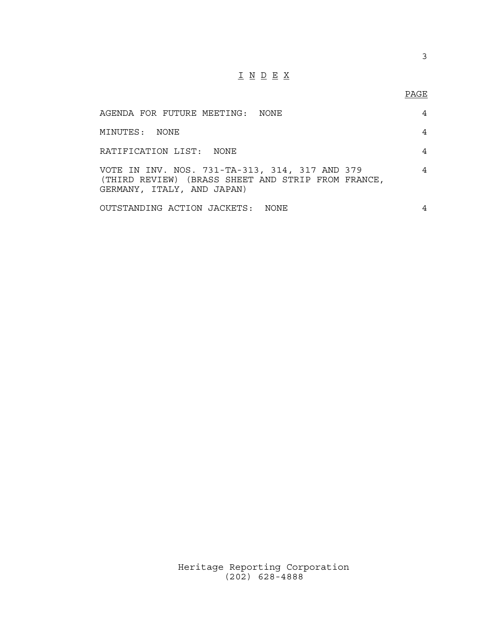## I N D E X

#### en de la provincia de la provincia de la provincia de la provincia de la provincia de la provincia de la provi<br>Para la provincia de la provincia de la provincia de la provincia de la provincia de la provincia de la provin

| AGENDA FOR FUTURE MEETING: NONE                                                                                                    | 4 |
|------------------------------------------------------------------------------------------------------------------------------------|---|
| MINUTES: NONE                                                                                                                      |   |
| RATIFICATION LIST: NONE                                                                                                            |   |
| VOTE IN INV. NOS. 731-TA-313, 314, 317 AND 379<br>(THIRD REVIEW) (BRASS SHEET AND STRIP FROM FRANCE,<br>GERMANY, ITALY, AND JAPAN) |   |
| OUTSTANDING ACTION JACKETS: NONE                                                                                                   |   |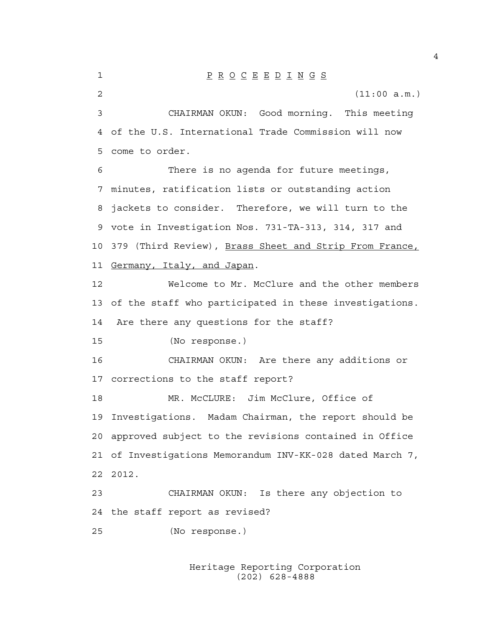1 P R O C E E D I N G S 2 (11:00 a.m.) 3 CHAIRMAN OKUN: Good morning. This meeting 4 of the U.S. International Trade Commission will now 5 come to order. 6 There is no agenda for future meetings, 7 minutes, ratification lists or outstanding action 8 jackets to consider. Therefore, we will turn to the 9 vote in Investigation Nos. 731-TA-313, 314, 317 and 10 379 (Third Review), Brass Sheet and Strip From France, 11 Germany, Italy, and Japan. 12 Welcome to Mr. McClure and the other members 13 of the staff who participated in these investigations. 14 Are there any questions for the staff? 15 (No response.) 16 CHAIRMAN OKUN: Are there any additions or 17 corrections to the staff report? 18 MR. McCLURE: Jim McClure, Office of 19 Investigations. Madam Chairman, the report should be 20 approved subject to the revisions contained in Office 21 of Investigations Memorandum INV-KK-028 dated March 7, 22 2012. 23 CHAIRMAN OKUN: Is there any objection to 24 the staff report as revised? 25 (No response.)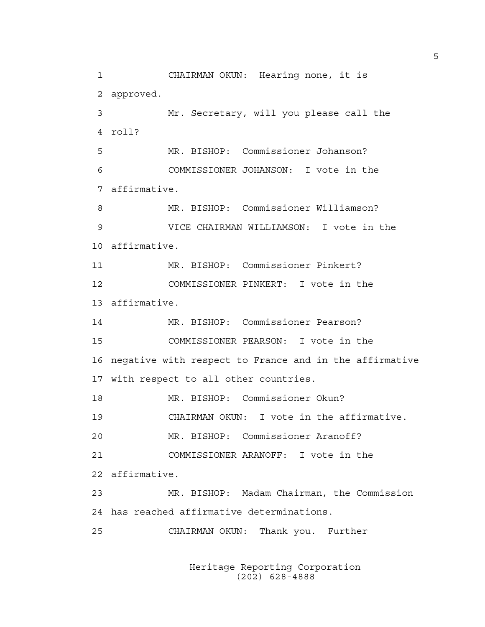1 CHAIRMAN OKUN: Hearing none, it is 2 approved. 3 Mr. Secretary, will you please call the 4 roll? 5 MR. BISHOP: Commissioner Johanson? 6 COMMISSIONER JOHANSON: I vote in the 7 affirmative. 8 MR. BISHOP: Commissioner Williamson? 9 VICE CHAIRMAN WILLIAMSON: I vote in the 10 affirmative. 11 MR. BISHOP: Commissioner Pinkert? 12 COMMISSIONER PINKERT: I vote in the 13 affirmative. 14 MR. BISHOP: Commissioner Pearson? 15 COMMISSIONER PEARSON: I vote in the 16 negative with respect to France and in the affirmative 17 with respect to all other countries. 18 MR. BISHOP: Commissioner Okun? 19 CHAIRMAN OKUN: I vote in the affirmative. 20 MR. BISHOP: Commissioner Aranoff? 21 COMMISSIONER ARANOFF: I vote in the 22 affirmative. 23 MR. BISHOP: Madam Chairman, the Commission 24 has reached affirmative determinations. 25 CHAIRMAN OKUN: Thank you. Further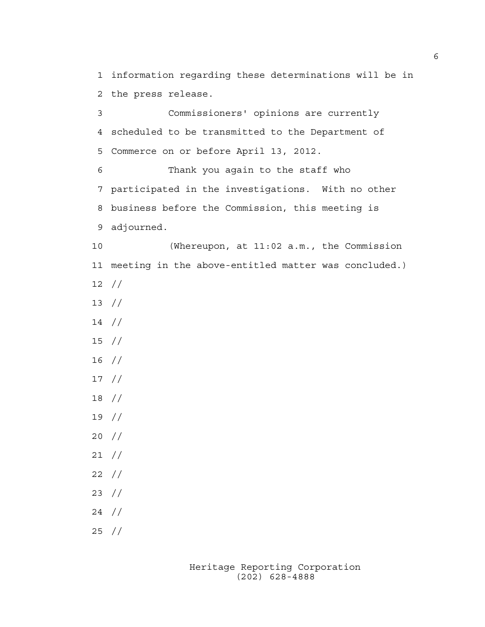1 information regarding these determinations will be in 2 the press release.

3 Commissioners' opinions are currently 4 scheduled to be transmitted to the Department of 5 Commerce on or before April 13, 2012. 6 Thank you again to the staff who

7 participated in the investigations. With no other 8 business before the Commission, this meeting is 9 adjourned.

10 (Whereupon, at 11:02 a.m., the Commission 11 meeting in the above-entitled matter was concluded.) 12 //

- 13 //
- 14 //
- 15 //
- 16 //
- 17 //
- 18 //
- 19 //
- 20 //
- 21 //
- 22 //
- 23 //
- 24 //
- 25 //